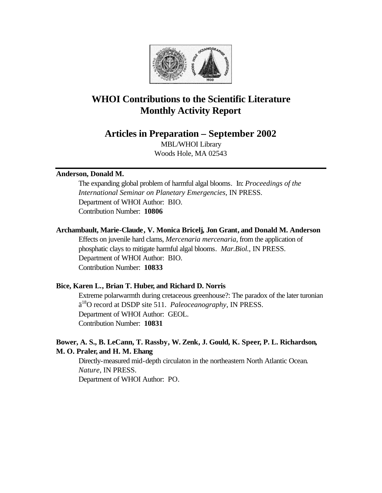

# **WHOI Contributions to the Scientific Literature Monthly Activity Report**

**Articles in Preparation – September 2002**

MBL/WHOI Library Woods Hole, MA 02543

### **Anderson, Donald M.**

The expanding global problem of harmful algal blooms. In: *Proceedings of the International Seminar on Planetary Emergencies*, IN PRESS. Department of WHOI Author: BIO. Contribution Number: **10806**

## **Archambault, Marie-Claude, V. Monica Bricelj, Jon Grant, and Donald M. Anderson**

Effects on juvenile hard clams, *Mercenaria mercenaria*, from the application of phosphatic clays to mitigate harmful algal blooms. *Mar.Biol.*, IN PRESS. Department of WHOI Author: BIO. Contribution Number: **10833**

# **Bice, Karen L., Brian T. Huber, and Richard D. Norris**

Extreme polarwarmth during cretaceous greenhouse?: The paradox of the later turonian ä <sup>18</sup>O record at DSDP site 511. *Paleoceanography*, IN PRESS. Department of WHOI Author: GEOL. Contribution Number: **10831**

# **Bower, A. S., B. LeCann, T. Rassby, W. Zenk, J. Gould, K. Speer, P. L. Richardson, M. O. Praler, and H. M. Ehang**

Directly-measured mid-depth circulaton in the northeastern North Atlantic Ocean. *Nature*, IN PRESS. Department of WHOI Author: PO.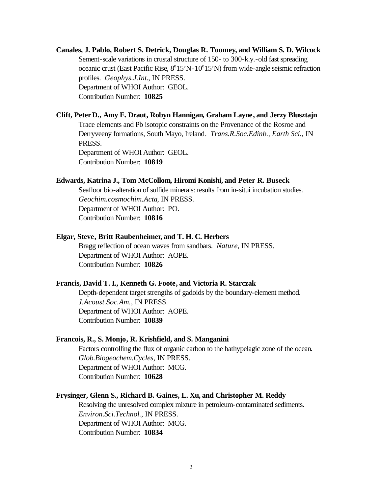# **Canales, J. Pablo, Robert S. Detrick, Douglas R. Toomey, and William S. D. Wilcock** Sement-scale variations in crustal structure of 150- to 300-k.y.-old fast spreading oceanic crust (East Pacific Rise,  $8^{\circ}15'N-10^{\circ}15'N$ ) from wide-angle seismic refraction profiles. *Geophys.J.Int.*, IN PRESS. Department of WHOI Author: GEOL. Contribution Number: **10825**

### **Clift, Peter D., Amy E. Draut, Robyn Hannigan, Graham Layne, and Jerzy Blusztajn**

Trace elements and Pb isotopic constraints on the Provenance of the Rosroe and Derryveeny formations, South Mayo, Ireland. *Trans.R.Soc.Edinb., Earth Sci.*, IN PRESS.

Department of WHOI Author: GEOL. Contribution Number: **10819**

#### **Edwards, Katrina J., Tom McCollom, Hiromi Konishi, and Peter R. Buseck**

Seafloor bio-alteration of sulfide minerals: results from in-situi incubation studies. *Geochim.cosmochim.Acta*, IN PRESS. Department of WHOI Author: PO. Contribution Number: **10816**

### **Elgar, Steve, Britt Raubenheimer, and T. H. C. Herbers**

Bragg reflection of ocean waves from sandbars. *Nature*, IN PRESS. Department of WHOI Author: AOPE. Contribution Number: **10826**

### **Francis, David T. I., Kenneth G. Foote, and Victoria R. Starczak**

Depth-dependent target strengths of gadoids by the boundary-element method. *J.Acoust.Soc.Am.*, IN PRESS. Department of WHOI Author: AOPE. Contribution Number: **10839**

### **Francois, R., S. Monjo, R. Krishfield, and S. Manganini**

Factors controlling the flux of organic carbon to the bathypelagic zone of the ocean. *Glob.Biogeochem.Cycles*, IN PRESS. Department of WHOI Author: MCG. Contribution Number: **10628**

### **Frysinger, Glenn S., Richard B. Gaines, L. Xu, and Christopher M. Reddy**

Resolving the unresolved complex mixture in petroleum-contaminated sediments. *Environ.Sci.Technol.*, IN PRESS. Department of WHOI Author: MCG. Contribution Number: **10834**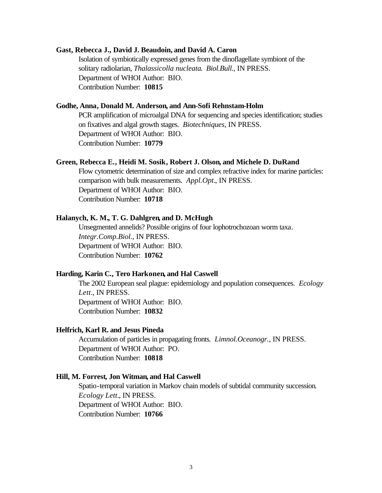#### **Gast, Rebecca J., David J. Beaudoin, and David A. Caron**

Isolation of symbiotically expressed genes from the dinoflagellate symbiont of the solitary radiolarian, *Thalassicolla nucleata*. *Biol.Bull.*, IN PRESS. Department of WHOI Author: BIO. Contribution Number: **10815**

### **Godhe, Anna, Donald M. Anderson, and Ann-Sofi Rehnstam-Holm**

PCR amplification of microalgal DNA for sequencing and species identification; studies on fixatives and algal growth stages. *Biotechniques*, IN PRESS. Department of WHOI Author: BIO. Contribution Number: **10779**

### **Green, Rebecca E., Heidi M. Sosik, Robert J. Olson, and Michele D. DuRand**

Flow cytometric determination of size and complex refractive index for marine particles: comparison with bulk measurements. *Appl.Opt.*, IN PRESS. Department of WHOI Author: BIO. Contribution Number: **10718**

#### **Halanych, K. M., T. G. Dahlgren, and D. McHugh**

Unsegmented annelids? Possible origins of four lophotrochozoan worm taxa. *Integr.Comp.Biol.*, IN PRESS. Department of WHOI Author: BIO. Contribution Number: **10762**

### **Harding, Karin C., Tero Harkonen, and Hal Caswell**

The 2002 European seal plague: epidemiology and population consequences. *Ecology Lett.*, IN PRESS. Department of WHOI Author: BIO. Contribution Number: **10832**

### **Helfrich, Karl R. and Jesus Pineda**

Accumulation of particles in propagating fronts. *Limnol.Oceanogr.*, IN PRESS. Department of WHOI Author: PO. Contribution Number: **10818**

#### **Hill, M. Forrest, Jon Witman, and Hal Caswell**

Spatio-temporal variation in Markov chain models of subtidal community succession. *Ecology Lett.*, IN PRESS. Department of WHOI Author: BIO. Contribution Number: **10766**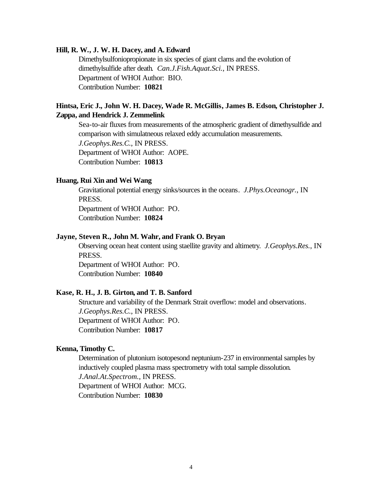### **Hill, R. W., J. W. H. Dacey, and A. Edward**

Dimethylsulfoniopropionate in six species of giant clams and the evolution of dimethylsulfide after death. *Can.J.Fish.Aquat.Sci.*, IN PRESS. Department of WHOI Author: BIO. Contribution Number: **10821**

### **Hintsa, Eric J., John W. H. Dacey, Wade R. McGillis, James B. Edson, Christopher J. Zappa, and Hendrick J. Zemmelink**

Sea-to-air fluxes from measurements of the atmospheric gradient of dimethysulfide and comparison with simulatneous relaxed eddy accumulation measurements. *J.Geophys.Res.C.*, IN PRESS. Department of WHOI Author: AOPE. Contribution Number: **10813**

#### **Huang, Rui Xin and Wei Wang**

Gravitational potential energy sinks/sources in the oceans. *J.Phys.Oceanogr.*, IN PRESS.

Department of WHOI Author: PO. Contribution Number: **10824**

### **Jayne, Steven R., John M. Wahr, and Frank O. Bryan**

Observing ocean heat content using staellite gravity and altimetry. *J.Geophys.Res.*, IN PRESS. Department of WHOI Author: PO.

Contribution Number: **10840**

#### **Kase, R. H., J. B. Girton, and T. B. Sanford**

Structure and variability of the Denmark Strait overflow: model and observations. *J.Geophys.Res.C.*, IN PRESS. Department of WHOI Author: PO. Contribution Number: **10817**

### **Kenna, Timothy C.**

Determination of plutonium isotopesond neptunium-237 in environmental samples by inductively coupled plasma mass spectrometry with total sample dissolution. *J.Anal.At.Spectrom.*, IN PRESS. Department of WHOI Author: MCG. Contribution Number: **10830**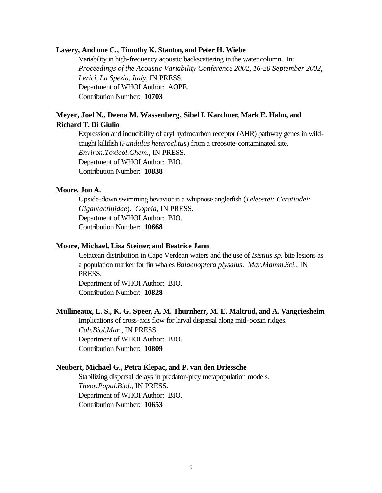#### **Lavery, And one C., Timothy K. Stanton, and Peter H. Wiebe**

Variability in high-frequency acoustic backscattering in the water column. In: *Proceedings of the Acoustic Variability Conference 2002, 16-20 September 2002, Lerici, La Spezia, Italy*, IN PRESS. Department of WHOI Author: AOPE. Contribution Number: **10703**

### **Meyer, Joel N., Deena M. Wassenberg, Sibel I. Karchner, Mark E. Hahn, and Richard T. Di Giulio**

Expression and inducibility of aryl hydrocarbon receptor (AHR) pathway genes in wildcaught killifish (*Fundulus heteroclitus*) from a creosote-contaminated site. *Environ.Toxicol.Chem.*, IN PRESS. Department of WHOI Author: BIO. Contribution Number: **10838**

### **Moore, Jon A.**

Upside-down swimming bevavior in a whipnose anglerfish (*Teleostei: Ceratiodei: Gigantactinidae*). *Copeia*, IN PRESS. Department of WHOI Author: BIO. Contribution Number: **10668**

### **Moore, Michael, Lisa Steiner, and Beatrice Jann**

Cetacean distribution in Cape Verdean waters and the use of *Isistius sp.* bite lesions as a population marker for fin whales *Balaenoptera plysalus*. *Mar.Mamm.Sci.*, IN PRESS.

Department of WHOI Author: BIO. Contribution Number: **10828**

#### **Mullineaux, L. S., K. G. Speer, A. M. Thurnherr, M. E. Maltrud, and A. Vangriesheim**

Implications of cross-axis flow for larval dispersal along mid-ocean ridges. *Cah.Biol.Mar.*, IN PRESS. Department of WHOI Author: BIO. Contribution Number: **10809**

#### **Neubert, Michael G., Petra Klepac, and P. van den Driessche**

Stabilizing dispersal delays in predator-prey metapopulation models. *Theor.Popul.Biol.*, IN PRESS. Department of WHOI Author: BIO. Contribution Number: **10653**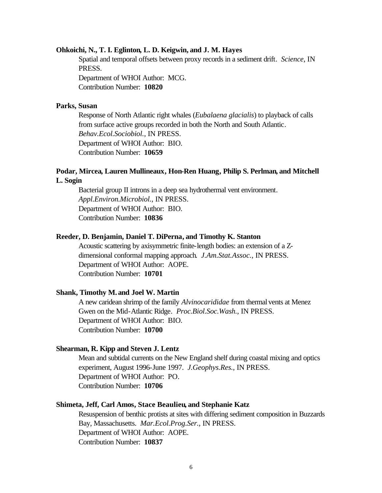### **Ohkoichi, N., T. I. Eglinton, L. D. Keigwin, and J. M. Hayes**

Spatial and temporal offsets between proxy records in a sediment drift. *Science*, IN PRESS. Department of WHOI Author: MCG. Contribution Number: **10820**

### **Parks, Susan**

Response of North Atlantic right whales (*Eubalaena glacialis*) to playback of calls from surface active groups recorded in both the North and South Atlantic. *Behav.Ecol.Sociobiol.*, IN PRESS. Department of WHOI Author: BIO. Contribution Number: **10659**

### **Podar, Mircea, Lauren Mullineaux, Hon-Ren Huang, Philip S. Perlman, and Mitchell L. Sogin**

Bacterial group II introns in a deep sea hydrothermal vent environment. *Appl.Environ.Microbiol.*, IN PRESS. Department of WHOI Author: BIO. Contribution Number: **10836**

#### **Reeder, D. Benjamin, Daniel T. DiPerna, and Timothy K. Stanton**

Acoustic scattering by axisymmetric finite-length bodies: an extension of a Zdimensional conformal mapping approach. *J.Am.Stat.Assoc.*, IN PRESS. Department of WHOI Author: AOPE. Contribution Number: **10701**

#### **Shank, Timothy M. and Joel W. Martin**

A new caridean shrimp of the family *Alvinocarididae* from thermal vents at Menez Gwen on the Mid-Atlantic Ridge. *Proc.Biol.Soc.Wash.*, IN PRESS. Department of WHOI Author: BIO. Contribution Number: **10700**

### **Shearman, R. Kipp and Steven J. Lentz**

Mean and subtidal currents on the New England shelf during coastal mixing and optics experiment, August 1996-June 1997. *J.Geophys.Res.*, IN PRESS. Department of WHOI Author: PO. Contribution Number: **10706**

### **Shimeta, Jeff, Carl Amos, Stace Beaulieu, and Stephanie Katz**

Resuspension of benthic protists at sites with differing sediment composition in Buzzards Bay, Massachusetts. *Mar.Ecol.Prog.Ser.*, IN PRESS. Department of WHOI Author: AOPE. Contribution Number: **10837**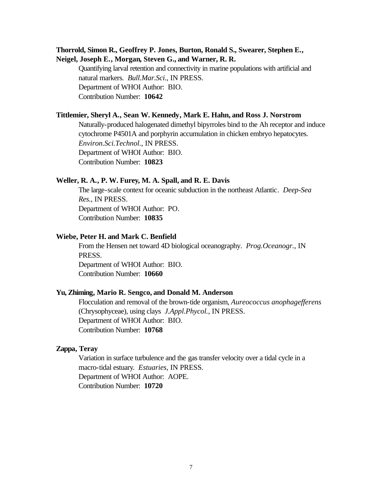### **Thorrold, Simon R., Geoffrey P. Jones, Burton, Ronald S., Swearer, Stephen E., Neigel, Joseph E., Morgan, Steven G., and Warner, R. R.**

Quantifying larval retention and connectivity in marine populations with artificial and natural markers. *Bull.Mar.Sci.*, IN PRESS. Department of WHOI Author: BIO. Contribution Number: **10642**

#### **Tittlemier, Sheryl A., Sean W. Kennedy, Mark E. Hahn, and Ross J. Norstrom**

Naturally-produced halogenated dimethyl bipyrroles bind to the Ah receptor and induce cytochrome P4501A and porphyrin accumulation in chicken embryo hepatocytes. *Environ.Sci.Technol.*, IN PRESS. Department of WHOI Author: BIO. Contribution Number: **10823**

#### **Weller, R. A., P. W. Furey, M. A. Spall, and R. E. Davis**

The large-scale context for oceanic subduction in the northeast Atlantic. *Deep-Sea Res.*, IN PRESS. Department of WHOI Author: PO. Contribution Number: **10835**

### **Wiebe, Peter H. and Mark C. Benfield**

From the Hensen net toward 4D biological oceanography. *Prog.Oceanogr.*, IN PRESS. Department of WHOI Author: BIO. Contribution Number: **10660**

# **Yu, Zhiming, Mario R. Sengco, and Donald M. Anderson**

Flocculation and removal of the brown-tide organism, *Aureococcus anophagefferens* (Chrysophyceae), using clays *J.Appl.Phycol.*, IN PRESS. Department of WHOI Author: BIO. Contribution Number: **10768**

## **Zappa, Teray**

Variation in surface turbulence and the gas transfer velocity over a tidal cycle in a macro-tidal estuary. *Estuaries*, IN PRESS. Department of WHOI Author: AOPE. Contribution Number: **10720**